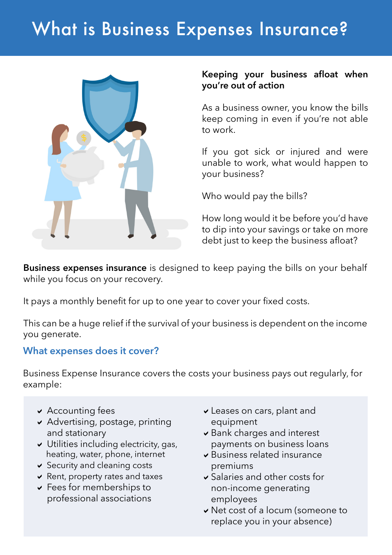# What is Business Expenses Insurance?



#### **Keeping your business afloat when you're out of action**

As a business owner, you know the bills keep coming in even if you're not able to work.

If you got sick or injured and were unable to work, what would happen to your business?

Who would pay the bills?

How long would it be before you'd have to dip into your savings or take on more debt just to keep the business afloat?

**Business expenses insurance** is designed to keep paying the bills on your behalf while you focus on your recovery.

It pays a monthly benefit for up to one year to cover your fixed costs.

This can be a huge relief if the survival of your business is dependent on the income you generate.

## **What expenses does it cover?**

Business Expense Insurance covers the costs your business pays out regularly, for example:

- $\overline{\phantom{a}}$  Accounting fees
- $\triangleright$  Advertising, postage, printing and stationary
- $\vee$  Utilities including electricity, gas, heating, water, phone, internet
- $\vee$  Security and cleaning costs
- $\vee$  Rent, property rates and taxes
- $\vee$  Fees for memberships to professional associations
- $\overline{\mathsf{v}}$  Leases on cars, plant and equipment
- $\triangleright$  Bank charges and interest payments on business loans
- $\blacktriangleright$  Business related insurance premiums
- $\triangleright$  Salaries and other costs for non-income generating employees
- v Net cost of a locum (someone to replace you in your absence)